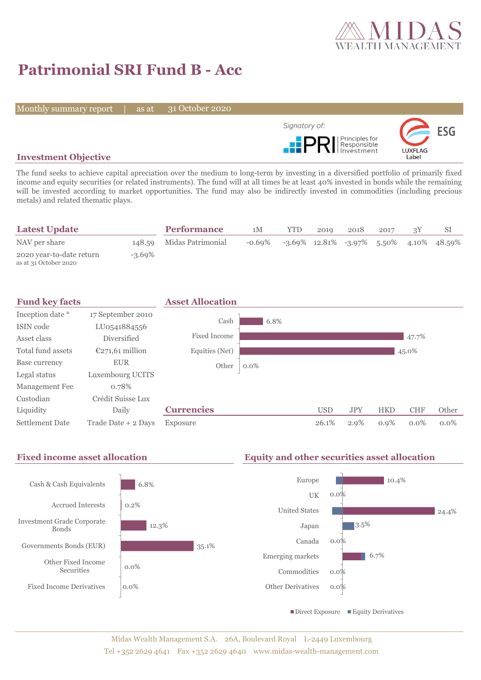

# **Patrimonial SRI Fund B - Acc**

Monthly summary report | as at

31 October 2020



## **Investment Objective**

The fund seeks to achieve capital apreciation over the medium to long-term by investing in a diversified portfolio of primarily fixed income and equity securities (or related instruments). The fund will at all times be at least 40% invested in bonds while the remaining will be invested according to market opportunities. The fund may also be indirectly invested in commodities (including precious metals) and related thematic plays.

| <b>Latest Update</b>                              |           | <b>Performance</b>       | 1M        | YTD. | 2019 | 2018 | 2017 |                                               |
|---------------------------------------------------|-----------|--------------------------|-----------|------|------|------|------|-----------------------------------------------|
| NAV per share                                     |           | 148.59 Midas Patrimonial | $-0.69\%$ |      |      |      |      | $-3.69\%$ 12.81% $-3.97\%$ 5.50% 4.10% 48.59% |
| 2020 year-to-date return<br>as at 31 October 2020 | $-3.69\%$ |                          |           |      |      |      |      |                                               |





Midas Wealth Management S.A. 26A, Boulevard Royal L-2449 Luxembourg Tel +352 2629 4641 Fax +352 2629 4640 www.midas-wealth-management.com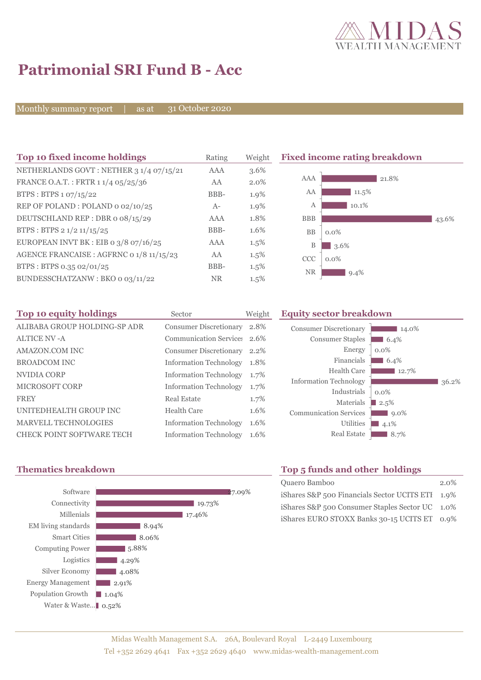

# **Patrimonial SRI Fund B - Acc**

Monthly summary report | as at

31 October 2020

| Top 10 fixed income holdings             | Rating     | Weight  |             | <b>Fixed income rating breakdown</b> |
|------------------------------------------|------------|---------|-------------|--------------------------------------|
| NETHERLANDS GOVT: NETHER 3 1/4 07/15/21  | AAA        | 3.6%    |             |                                      |
| FRANCE O.A.T.: FRTR 1 1/4 05/25/36       | AA         | $2.0\%$ | AAA         | 21.8%                                |
| BTPS : BTPS $1.07/15/22$                 | BBB-       | 1.9%    | AA          | 11.5%                                |
| REP OF POLAND: POLAND 0 02/10/25         | $A-$       | 1.9%    | А           | 10.1%                                |
| DEUTSCHLAND REP : DBR 0 08/15/29         | <b>AAA</b> | 1.8%    | <b>BBB</b>  | 43.6%                                |
| BTPS: BTPS 2 1/2 11/15/25                | BBB-       | 1.6%    | <b>BB</b>   | $0.0\%$                              |
| EUROPEAN INVT BK : EIB o $3/8$ o7/16/25  | AAA        | $1.5\%$ | $\mathbf B$ | 3.6%                                 |
| AGENCE FRANCAISE : AGFRNC 0 1/8 11/15/23 | AA         | $1.5\%$ | <b>CCC</b>  | $0.0\%$                              |
| BTPS: BTPS 0.35 02/01/25                 | BBB-       | $1.5\%$ | <b>NR</b>   |                                      |
| BUNDESSCHATZANW: BKO o 03/11/22          | <b>NR</b>  | $1.5\%$ |             | $9.4\%$                              |

| Top 10 equity holdings           | Sector                        | Weight | <b>Equity sector breakdown</b> |              |       |  |  |
|----------------------------------|-------------------------------|--------|--------------------------------|--------------|-------|--|--|
| ALIBABA GROUP HOLDING-SP ADR     | Consumer Discretionary        | 2.8%   | <b>Consumer Discretionary</b>  | 14.0%        |       |  |  |
| <b>ALTICE NV - A</b>             | Communication Service: 2.6%   |        | <b>Consumer Staples</b>        | $-6.4\%$     |       |  |  |
| AMAZON.COM INC                   | <b>Consumer Discretionary</b> | 2.2%   | Energy                         | $0.0\%$      |       |  |  |
| <b>BROADCOM INC</b>              | <b>Information Technology</b> | 1.8%   | Financials                     | $6.4\%$      |       |  |  |
| NVIDIA CORP                      | <b>Information Technology</b> | 1.7%   | <b>Health Care</b>             | 12.7%        |       |  |  |
| <b>MICROSOFT CORP</b>            | <b>Information Technology</b> | 1.7%   | <b>Information Technology</b>  |              | 36.2% |  |  |
| <b>FREY</b>                      | <b>Real Estate</b>            | 1.7%   | Industrials                    | $0.0\%$      |       |  |  |
|                                  |                               |        | Materials                      | 2.5%         |       |  |  |
| UNITEDHEALTH GROUP INC           | <b>Health Care</b>            | 1.6%   | <b>Communication Services</b>  | $\log 9.0\%$ |       |  |  |
| <b>MARVELL TECHNOLOGIES</b>      | <b>Information Technology</b> | 1.6%   | Utilities                      | 14.1%        |       |  |  |
| <b>CHECK POINT SOFTWARE TECH</b> | <b>Information Technology</b> | 1.6%   | <b>Real Estate</b>             | $8.7\%$      |       |  |  |



# **Thematics breakdown Top 5 funds and other holdings**

| Quaero Bamboo                                    | $2.0\%$ |
|--------------------------------------------------|---------|
| iShares S&P 500 Financials Sector UCITS ETI 1.9% |         |
| iShares S&P 500 Consumer Staples Sector UC 1.0%  |         |
| iShares EURO STOXX Banks 30-15 UCITS ET 0.9%     |         |